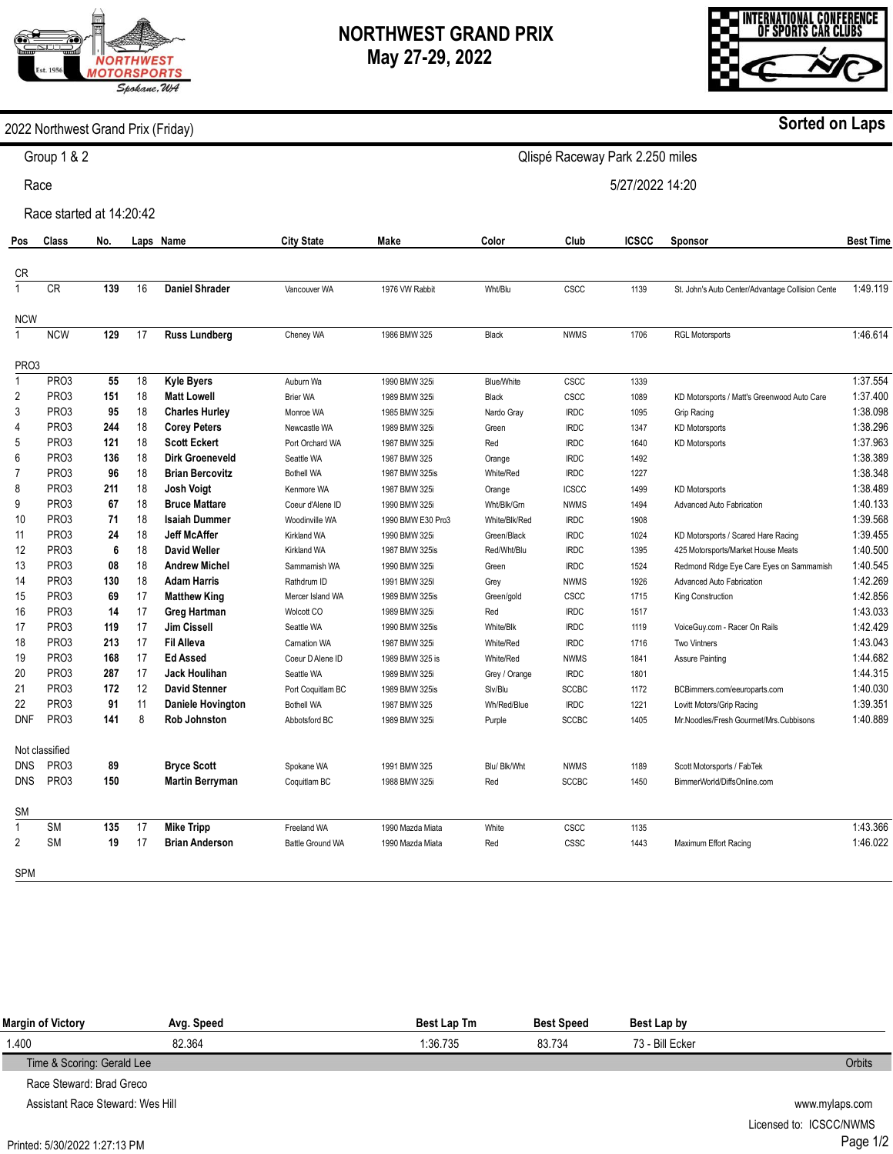## **NORTHWEST GRAND PRIX May 27-29, 2022**

INTERNATIONAL CONFERENCE<br>Of Sports Car Clubs

2022 Northwest Grand Prix (Friday)

Race

Race started at 14:20:42

| Pos               | <b>Class</b>      | No. |    | Laps Name                | <b>City State</b>   | <b>Make</b>       | Color         | Club         | <b>ICSCC</b> | Sponsor                                          | <b>Best Time</b> |
|-------------------|-------------------|-----|----|--------------------------|---------------------|-------------------|---------------|--------------|--------------|--------------------------------------------------|------------------|
| CR                |                   |     |    |                          |                     |                   |               |              |              |                                                  |                  |
| $\mathbf{1}$      | <b>CR</b>         | 139 | 16 | <b>Daniel Shrader</b>    | Vancouver WA        | 1976 VW Rabbit    | Wht/Blu       | CSCC         | 1139         | St. John's Auto Center/Advantage Collision Cente | 1:49.119         |
| <b>NCW</b>        |                   |     |    |                          |                     |                   |               |              |              |                                                  |                  |
| $\mathbf{1}$      | <b>NCW</b>        | 129 | 17 | <b>Russ Lundberg</b>     | Cheney WA           | 1986 BMW 325      | Black         | <b>NWMS</b>  | 1706         | <b>RGL Motorsports</b>                           | 1:46.614         |
| PR <sub>O</sub> 3 |                   |     |    |                          |                     |                   |               |              |              |                                                  |                  |
| $\mathbf{1}$      | PR <sub>O</sub> 3 | 55  | 18 | <b>Kyle Byers</b>        | Auburn Wa           | 1990 BMW 325i     | Blue/White    | <b>CSCC</b>  | 1339         |                                                  | 1:37.554         |
| $\overline{2}$    | PR <sub>O</sub> 3 | 151 | 18 | <b>Matt Lowell</b>       | <b>Brier WA</b>     | 1989 BMW 325i     | Black         | CSCC         | 1089         | KD Motorsports / Matt's Greenwood Auto Care      | 1:37.400         |
| 3                 | PR <sub>O</sub> 3 | 95  | 18 | <b>Charles Hurley</b>    | Monroe WA           | 1985 BMW 325i     | Nardo Gray    | <b>IRDC</b>  | 1095         | Grip Racing                                      | 1:38.098         |
| 4                 | PR <sub>O</sub> 3 | 244 | 18 | <b>Corey Peters</b>      | Newcastle WA        | 1989 BMW 325i     | Green         | <b>IRDC</b>  | 1347         | <b>KD Motorsports</b>                            | 1:38.296         |
| 5                 | PR <sub>O</sub> 3 | 121 | 18 | <b>Scott Eckert</b>      | Port Orchard WA     | 1987 BMW 325i     | Red           | <b>IRDC</b>  | 1640         | <b>KD Motorsports</b>                            | 1:37.963         |
| 6                 | PR <sub>O3</sub>  | 136 | 18 | <b>Dirk Groeneveld</b>   | Seattle WA          | 1987 BMW 325      | Orange        | <b>IRDC</b>  | 1492         |                                                  | 1:38.389         |
| $\overline{7}$    | PR <sub>O3</sub>  | 96  | 18 | <b>Brian Bercovitz</b>   | <b>Bothell WA</b>   | 1987 BMW 325is    | White/Red     | <b>IRDC</b>  | 1227         |                                                  | 1:38.348         |
| 8                 | PR <sub>O</sub> 3 | 211 | 18 | <b>Josh Voigt</b>        | Kenmore WA          | 1987 BMW 325i     | Orange        | <b>ICSCC</b> | 1499         | <b>KD Motorsports</b>                            | 1:38.489         |
| 9                 | PR <sub>O</sub> 3 | 67  | 18 | <b>Bruce Mattare</b>     | Coeur d'Alene ID    | 1990 BMW 325i     | Wht/Blk/Grn   | <b>NWMS</b>  | 1494         | Advanced Auto Fabrication                        | 1:40.133         |
| 10                | PR <sub>O</sub> 3 | 71  | 18 | <b>Isaiah Dummer</b>     | Woodinville WA      | 1990 BMW E30 Pro3 | White/Blk/Red | <b>IRDC</b>  | 1908         |                                                  | 1:39.568         |
| 11                | PR <sub>O</sub> 3 | 24  | 18 | <b>Jeff McAffer</b>      | <b>Kirkland WA</b>  | 1990 BMW 325i     | Green/Black   | <b>IRDC</b>  | 1024         | KD Motorsports / Scared Hare Racing              | 1:39.455         |
| 12                | PR <sub>O</sub> 3 | 6   | 18 | <b>David Weller</b>      | <b>Kirkland WA</b>  | 1987 BMW 325is    | Red/Wht/Blu   | <b>IRDC</b>  | 1395         | 425 Motorsports/Market House Meats               | 1:40.500         |
| 13                | PR <sub>O</sub> 3 | 08  | 18 | <b>Andrew Michel</b>     | Sammamish WA        | 1990 BMW 325i     | Green         | <b>IRDC</b>  | 1524         | Redmond Ridge Eye Care Eyes on Sammamish         | 1:40.545         |
| 14                | PR <sub>O</sub> 3 | 130 | 18 | <b>Adam Harris</b>       | Rathdrum ID         | 1991 BMW 325I     | Grey          | <b>NWMS</b>  | 1926         | Advanced Auto Fabrication                        | 1:42.269         |
| 15                | PR <sub>O3</sub>  | 69  | 17 | <b>Matthew King</b>      | Mercer Island WA    | 1989 BMW 325is    | Green/gold    | CSCC         | 1715         | King Construction                                | 1:42.856         |
| 16                | PR <sub>O3</sub>  | 14  | 17 | Greg Hartman             | Wolcott CO          | 1989 BMW 325i     | Red           | <b>IRDC</b>  | 1517         |                                                  | 1:43.033         |
| 17                | PR <sub>O</sub> 3 | 119 | 17 | <b>Jim Cissell</b>       | Seattle WA          | 1990 BMW 325is    | White/Blk     | <b>IRDC</b>  | 1119         | VoiceGuy.com - Racer On Rails                    | 1:42.429         |
| 18                | PR <sub>O</sub> 3 | 213 | 17 | <b>Fil Alleva</b>        | <b>Carnation WA</b> | 1987 BMW 325i     | White/Red     | <b>IRDC</b>  | 1716         | <b>Two Vintners</b>                              | 1:43.043         |
| 19                | PR <sub>O</sub> 3 | 168 | 17 | <b>Ed Assed</b>          | Coeur D Alene ID    | 1989 BMW 325 is   | White/Red     | <b>NWMS</b>  | 1841         | Assure Painting                                  | 1:44.682         |
| 20                | PR <sub>O</sub> 3 | 287 | 17 | <b>Jack Houlihan</b>     | Seattle WA          | 1989 BMW 325i     | Grey / Orange | <b>IRDC</b>  | 1801         |                                                  | 1:44.315         |
| 21                | PR <sub>O</sub> 3 | 172 | 12 | <b>David Stenner</b>     | Port Coquitlam BC   | 1989 BMW 325is    | Slv/Blu       | <b>SCCBC</b> | 1172         | BCBimmers.com/eeuroparts.com                     | 1:40.030         |
| 22                | PR <sub>O</sub> 3 | 91  | 11 | <b>Daniele Hovington</b> | <b>Bothell WA</b>   | 1987 BMW 325      | Wh/Red/Blue   | <b>IRDC</b>  | 1221         | Lovitt Motors/Grip Racing                        | 1:39.351         |
| <b>DNF</b>        | PR <sub>O3</sub>  | 141 | 8  | <b>Rob Johnston</b>      | Abbotsford BC       | 1989 BMW 325i     | Purple        | <b>SCCBC</b> | 1405         | Mr.Noodles/Fresh Gourmet/Mrs.Cubbisons           | 1:40.889         |
|                   | Not classified    |     |    |                          |                     |                   |               |              |              |                                                  |                  |
| <b>DNS</b>        | PR <sub>O</sub> 3 | 89  |    | <b>Bryce Scott</b>       | Spokane WA          | 1991 BMW 325      | Blu/ Blk/Wht  | <b>NWMS</b>  | 1189         | Scott Motorsports / FabTek                       |                  |
| <b>DNS</b>        | PR <sub>O</sub> 3 | 150 |    | <b>Martin Berryman</b>   | Coquitlam BC        | 1988 BMW 325i     | Red           | <b>SCCBC</b> | 1450         | BimmerWorld/DiffsOnline.com                      |                  |
| <b>SM</b>         |                   |     |    |                          |                     |                   |               |              |              |                                                  |                  |
| $\mathbf{1}$      | <b>SM</b>         | 135 | 17 | <b>Mike Tripp</b>        | Freeland WA         | 1990 Mazda Miata  | White         | CSCC         | 1135         |                                                  | 1:43.366         |
| $\overline{2}$    | <b>SM</b>         | 19  | 17 | <b>Brian Anderson</b>    | Battle Ground WA    | 1990 Mazda Miata  | Red           | CSSC         | 1443         | Maximum Effort Racing                            | 1:46.022         |
| SPM               |                   |     |    |                          |                     |                   |               |              |              |                                                  |                  |

| Margin of Victory          | Avg. Speed | <b>Best Lap Tm</b> | <b>Best Speed</b> | Best Lap by     |        |
|----------------------------|------------|--------------------|-------------------|-----------------|--------|
| 1.400                      | 82.364     | 1:36.735           | 83.734            | 73 - Bill Ecker |        |
| Time & Scoring: Gerald Lee |            |                    |                   |                 | Orbits |
| Race Steward: Brad Greco   |            |                    |                   |                 |        |

Assistant Race Steward: Wes Hill

Printed: 5/30/2022 1:27:13 PM

www.mylaps.com Licensed to: ICSCC/NWMS Page 1/2



**Sorted on Laps**



Qlispé Raceway Park 2.250 miles

5/27/2022 14:20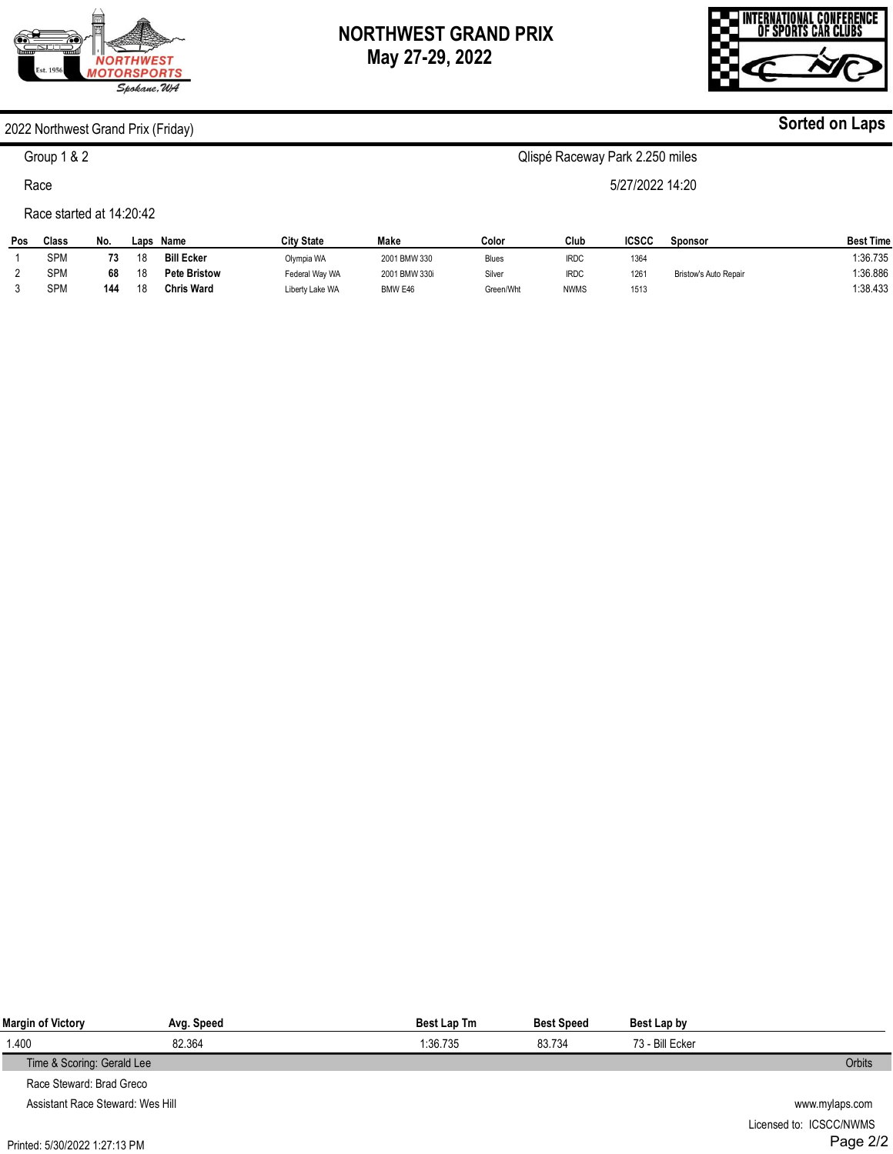# **ORTHWEST MOTORSPORTS** Spokane, WA

# **NORTHWEST GRAND PRIX May 27-29, 2022**



**Sorted on Laps**

#### 2022 Northwest Grand Prix (Friday)

## Group 1 & 2

Race

#### Race started at 14:20:42

| Pos | Class      | No. | Laps | Name                | <b>City State</b> | Make          | Color     | Club        | ICSCC | Sponsor                      | <b>Best Time</b>   |
|-----|------------|-----|------|---------------------|-------------------|---------------|-----------|-------------|-------|------------------------------|--------------------|
|     | SPM        |     | 18   | <b>Bill Ecker</b>   | Olympia WA        | 2001 BMW 330  | Blues     | <b>IRDC</b> | 1364  |                              | $^{\circ}$ :36.735 |
|     | SPM        | 68  | 18   | <b>Pete Bristow</b> | Federal Way WA    | 2001 BMW 330i | Silver    | <b>IRDC</b> | 1261  | <b>Bristow's Auto Repair</b> | 1:36.886           |
|     | <b>SPM</b> | 144 | 18   | <b>Chris Ward</b>   | Liberty Lake WA   | BMW E46       | Green/Wht | <b>NWMS</b> | 1513  |                              | :38.433            |

| Margin of Victory                | Avg. Speed     | Best Lap Tm | <b>Best Speed</b> | Best Lap by     |  |
|----------------------------------|----------------|-------------|-------------------|-----------------|--|
| 1.400                            | 82.364         | 1:36.735    | 83.734            | 73 - Bill Ecker |  |
| Time & Scoring: Gerald Lee       | Orbits         |             |                   |                 |  |
| Race Steward: Brad Greco         |                |             |                   |                 |  |
| Assistant Race Steward: Wes Hill | www.mylaps.com |             |                   |                 |  |
|                                  |                |             |                   |                 |  |



Qlispé Raceway Park 2.250 miles

5/27/2022 14:20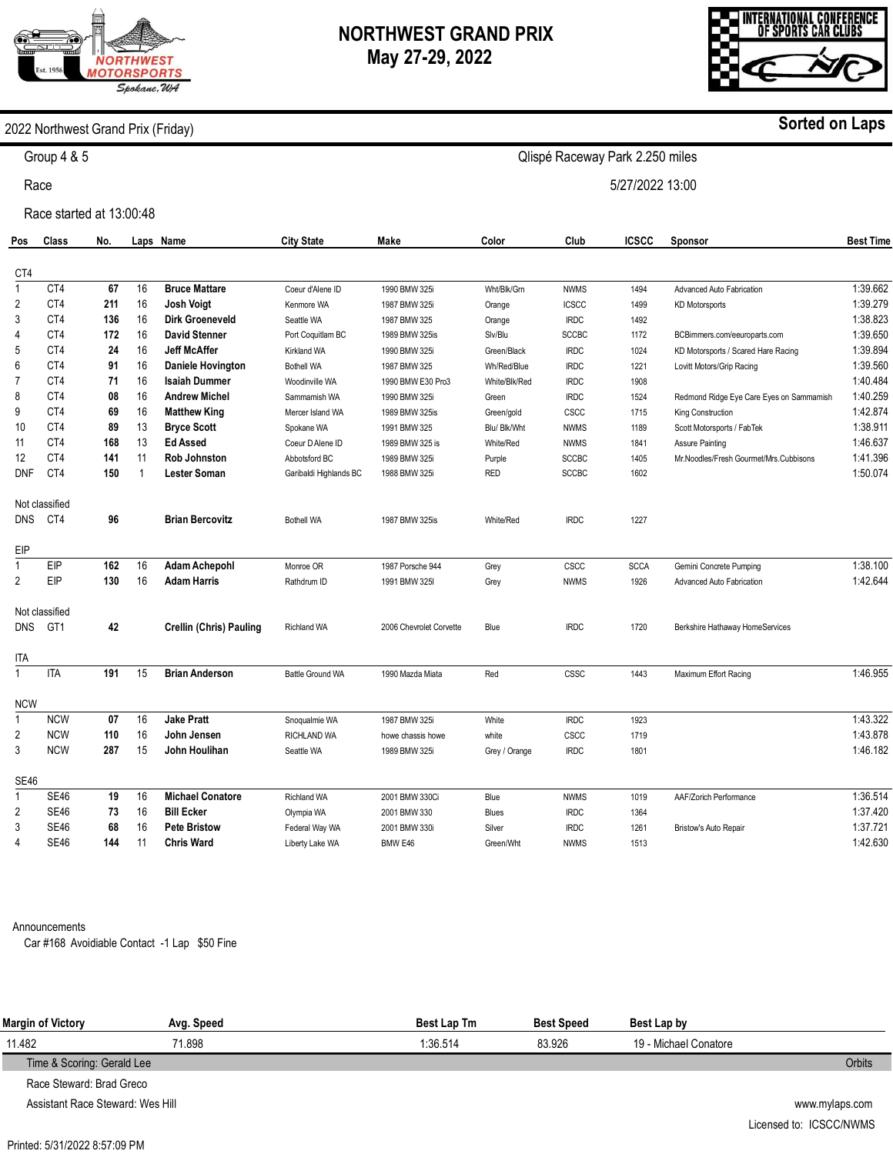# **ORTHWEST IOTORSPORTS** Spokane, WA

# **NORTHWEST GRAND PRIX May 27-29, 2022**

Qlispé Raceway Park 2.250 miles

5/27/2022 13:00



### 2022 Northwest Grand Prix (Friday)

Group 4 & 5

Race

Race started at 13:00:48

| Pos            | <b>Class</b>    | No. |                      | Laps Name                      | <b>City State</b>      | Make                    | Color         | Club         | <b>ICSCC</b> | Sponsor                                  | <b>Best Time</b> |
|----------------|-----------------|-----|----------------------|--------------------------------|------------------------|-------------------------|---------------|--------------|--------------|------------------------------------------|------------------|
| CT4            |                 |     |                      |                                |                        |                         |               |              |              |                                          |                  |
| $\mathbf{1}$   | CT4             | 67  | 16                   | <b>Bruce Mattare</b>           | Coeur d'Alene ID       | 1990 BMW 325i           | Wht/Blk/Grn   | <b>NWMS</b>  | 1494         | Advanced Auto Fabrication                | 1:39.662         |
| 2              | CT4             | 211 | 16                   | <b>Josh Voigt</b>              | Kenmore WA             | 1987 BMW 325i           | Orange        | <b>ICSCC</b> | 1499         | <b>KD Motorsports</b>                    | 1:39.279         |
| 3              | CT4             | 136 | 16                   | <b>Dirk Groeneveld</b>         | Seattle WA             | 1987 BMW 325            | Orange        | <b>IRDC</b>  | 1492         |                                          | 1:38.823         |
| 4              | CT4             | 172 | 16                   | <b>David Stenner</b>           | Port Coquitlam BC      | 1989 BMW 325is          | Slv/Blu       | <b>SCCBC</b> | 1172         | BCBimmers.com/eeuroparts.com             | 1:39.650         |
| 5              | CT4             | 24  | 16                   | <b>Jeff McAffer</b>            | <b>Kirkland WA</b>     | 1990 BMW 325i           | Green/Black   | <b>IRDC</b>  | 1024         | KD Motorsports / Scared Hare Racing      | 1:39.894         |
| 6              | CT4             | 91  | 16                   | <b>Daniele Hovington</b>       | <b>Bothell WA</b>      | 1987 BMW 325            | Wh/Red/Blue   | <b>IRDC</b>  | 1221         | Lovitt Motors/Grip Racing                | 1:39.560         |
| $\overline{7}$ | CT4             | 71  | 16                   | <b>Isaiah Dummer</b>           | Woodinville WA         | 1990 BMW E30 Pro3       | White/Blk/Red | <b>IRDC</b>  | 1908         |                                          | 1:40.484         |
| 8              | CT4             | 08  | 16                   | <b>Andrew Michel</b>           | Sammamish WA           | 1990 BMW 325i           | Green         | <b>IRDC</b>  | 1524         | Redmond Ridge Eye Care Eyes on Sammamish | 1:40.259         |
| 9              | CT4             | 69  | 16                   | <b>Matthew King</b>            | Mercer Island WA       | 1989 BMW 325is          | Green/gold    | CSCC         | 1715         | King Construction                        | 1:42.874         |
| 10             | CT4             | 89  | 13                   | <b>Bryce Scott</b>             | Spokane WA             | 1991 BMW 325            | Blu/ Blk/Wht  | <b>NWMS</b>  | 1189         | Scott Motorsports / FabTek               | 1:38.911         |
| 11             | CT4             | 168 | 13                   | <b>Ed Assed</b>                | Coeur D Alene ID       | 1989 BMW 325 is         | White/Red     | <b>NWMS</b>  | 1841         | <b>Assure Painting</b>                   | 1:46.637         |
| 12             | CT4             | 141 | 11                   | <b>Rob Johnston</b>            | Abbotsford BC          | 1989 BMW 325i           | Purple        | <b>SCCBC</b> | 1405         | Mr.Noodles/Fresh Gourmet/Mrs.Cubbisons   | 1:41.396         |
| <b>DNF</b>     | CT4             | 150 | $\blacktriangleleft$ | <b>Lester Soman</b>            | Garibaldi Highlands BC | 1988 BMW 325i           | <b>RED</b>    | <b>SCCBC</b> | 1602         |                                          | 1:50.074         |
|                | Not classified  |     |                      |                                |                        |                         |               |              |              |                                          |                  |
| <b>DNS</b>     | CT4             | 96  |                      | <b>Brian Bercovitz</b>         | <b>Bothell WA</b>      | 1987 BMW 325is          | White/Red     | <b>IRDC</b>  | 1227         |                                          |                  |
| EIP            |                 |     |                      |                                |                        |                         |               |              |              |                                          |                  |
| $\mathbf{1}$   | EIP             | 162 | 16                   | <b>Adam Achepohl</b>           | Monroe OR              | 1987 Porsche 944        | Grey          | CSCC         | <b>SCCA</b>  | Gemini Concrete Pumping                  | 1:38.100         |
| 2              | EIP             | 130 | 16                   | <b>Adam Harris</b>             | Rathdrum ID            | 1991 BMW 325I           | Grey          | <b>NWMS</b>  | 1926         | Advanced Auto Fabrication                | 1:42.644         |
|                | Not classified  |     |                      |                                |                        |                         |               |              |              |                                          |                  |
| <b>DNS</b>     | GT <sub>1</sub> | 42  |                      | <b>Crellin (Chris) Pauling</b> | <b>Richland WA</b>     | 2006 Chevrolet Corvette | Blue          | <b>IRDC</b>  | 1720         | Berkshire Hathaway HomeServices          |                  |
| <b>ITA</b>     |                 |     |                      |                                |                        |                         |               |              |              |                                          |                  |
| $\mathbf{1}$   | <b>ITA</b>      | 191 | 15                   | <b>Brian Anderson</b>          | Battle Ground WA       | 1990 Mazda Miata        | Red           | <b>CSSC</b>  | 1443         | Maximum Effort Racing                    | 1:46.955         |
| <b>NCW</b>     |                 |     |                      |                                |                        |                         |               |              |              |                                          |                  |
| $\mathbf{1}$   | <b>NCW</b>      | 07  | 16                   | <b>Jake Pratt</b>              | Snoqualmie WA          | 1987 BMW 325i           | White         | <b>IRDC</b>  | 1923         |                                          | 1:43.322         |
| 2              | <b>NCW</b>      | 110 | 16                   | John Jensen                    | <b>RICHLAND WA</b>     | howe chassis howe       | white         | <b>CSCC</b>  | 1719         |                                          | 1:43.878         |
| 3              | <b>NCW</b>      | 287 | 15                   | John Houlihan                  | Seattle WA             | 1989 BMW 325i           | Grey / Orange | <b>IRDC</b>  | 1801         |                                          | 1:46.182         |
| <b>SE46</b>    |                 |     |                      |                                |                        |                         |               |              |              |                                          |                  |
| $\mathbf{1}$   | <b>SE46</b>     | 19  | 16                   | <b>Michael Conatore</b>        | <b>Richland WA</b>     | 2001 BMW 330Ci          | Blue          | <b>NWMS</b>  | 1019         | AAF/Zorich Performance                   | 1:36.514         |
| 2              | <b>SE46</b>     | 73  | 16                   | <b>Bill Ecker</b>              | Olympia WA             | 2001 BMW 330            | <b>Blues</b>  | <b>IRDC</b>  | 1364         |                                          | 1:37.420         |
| 3              | <b>SE46</b>     | 68  | 16                   | <b>Pete Bristow</b>            | Federal Way WA         | 2001 BMW 330i           | Silver        | <b>IRDC</b>  | 1261         | Bristow's Auto Repair                    | 1:37.721         |
| 4              | <b>SE46</b>     | 144 | 11                   | <b>Chris Ward</b>              | Liberty Lake WA        | BMW E46                 | Green/Wht     | <b>NWMS</b>  | 1513         |                                          | 1:42.630         |

Announcements

Car #168 Avoidiable Contact -1 Lap \$50 Fine

| Margin of Victory          | Avg. Speed | <b>Best Lap Tm</b> | <b>Best Speed</b> | Best Lap by           |               |
|----------------------------|------------|--------------------|-------------------|-----------------------|---------------|
| 11.482                     | 71.898     | 1:36.514           | 83.926            | 19 - Michael Conatore |               |
| Time & Scoring: Gerald Lee |            |                    |                   |                       | <b>Orbits</b> |
| Race Steward: Brad Greco   |            |                    |                   |                       |               |

Assistant Race Steward: Wes Hill

Printed: 5/31/2022 8:57:09 PM

www.mylaps.com Licensed to: ICSCC/NWMS

### **Sorted on Laps**